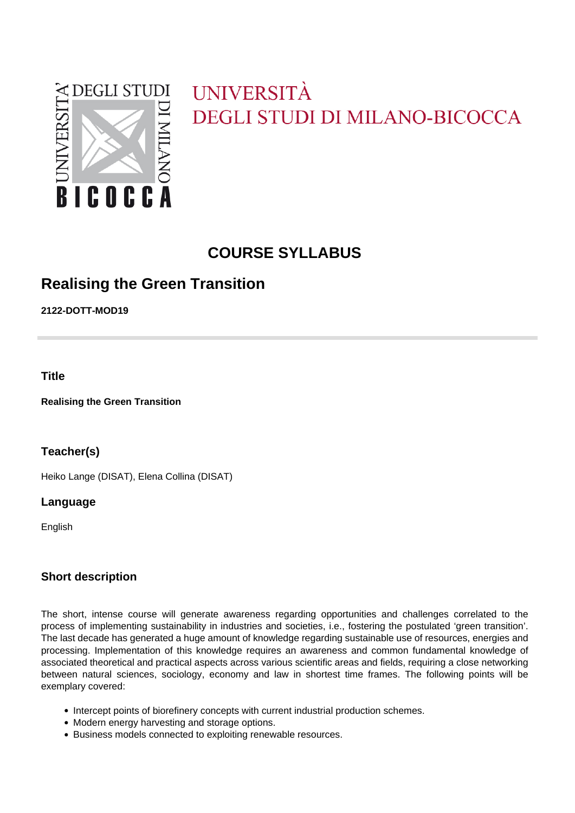

# UNIVERSITÀ DEGLI STUDI DI MILANO-BICOCCA

# **COURSE SYLLABUS**

# **Realising the Green Transition**

**2122-DOTT-MOD19**

**Title**

**Realising the Green Transition**

**Teacher(s)**

Heiko Lange (DISAT), Elena Collina (DISAT)

## **Language**

English

# **Short description**

The short, intense course will generate awareness regarding opportunities and challenges correlated to the process of implementing sustainability in industries and societies, i.e., fostering the postulated 'green transition'. The last decade has generated a huge amount of knowledge regarding sustainable use of resources, energies and processing. Implementation of this knowledge requires an awareness and common fundamental knowledge of associated theoretical and practical aspects across various scientific areas and fields, requiring a close networking between natural sciences, sociology, economy and law in shortest time frames. The following points will be exemplary covered:

- Intercept points of biorefinery concepts with current industrial production schemes.
- Modern energy harvesting and storage options.
- Business models connected to exploiting renewable resources.